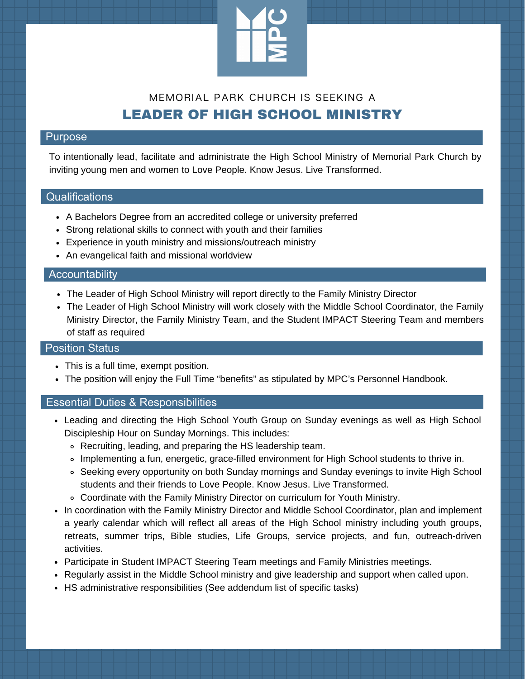

# LEADER OF HIGH SCHOOL MINISTRY MEMORIAL PARK CHURCH IS SEEKING A

#### Purpose

To intentionally lead, facilitate and administrate the High School Ministry of Memorial Park Church by inviting young men and women to Love People. Know Jesus. Live Transformed.

### **Qualifications**

- A Bachelors Degree from an accredited college or university preferred
- Strong relational skills to connect with youth and their families
- Experience in youth ministry and missions/outreach ministry
- An evangelical faith and missional worldview

#### **Accountability**

- The Leader of High School Ministry will report directly to the Family Ministry Director
- The Leader of High School Ministry will work closely with the Middle School Coordinator, the Family Ministry Director, the Family Ministry Team, and the Student IMPACT Steering Team and members of staff as required

### Position Status

- This is a full time, exempt position.
- The position will enjoy the Full Time "benefits" as stipulated by MPC's Personnel Handbook.

#### Essential Duties & Responsibilities

- Leading and directing the High School Youth Group on Sunday evenings as well as High School Discipleship Hour on Sunday Mornings. This includes:
	- Recruiting, leading, and preparing the HS leadership team.
	- Implementing a fun, energetic, grace-filled environment for High School students to thrive in.
	- Seeking every opportunity on both Sunday mornings and Sunday evenings to invite High School students and their friends to Love People. Know Jesus. Live Transformed.
	- Coordinate with the Family Ministry Director on curriculum for Youth Ministry.
- In coordination with the Family Ministry Director and Middle School Coordinator, plan and implement a yearly calendar which will reflect all areas of the High School ministry including youth groups, retreats, summer trips, Bible studies, Life Groups, service projects, and fun, outreach-driven activities.
- Participate in Student IMPACT Steering Team meetings and Family Ministries meetings.
- Regularly assist in the Middle School ministry and give leadership and support when called upon.
- HS administrative responsibilities (See addendum list of specific tasks)